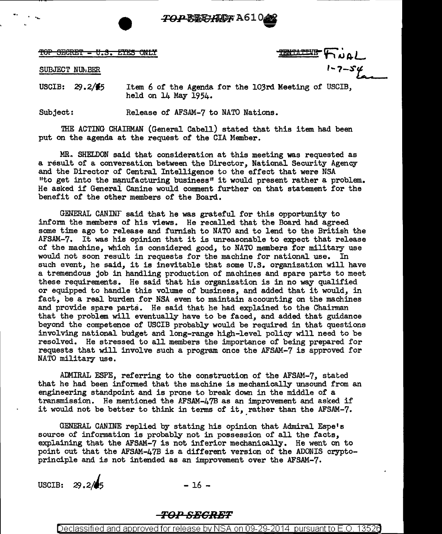

**"19"'** 

'fOP SEeM'f - tJ .B. E~ ONLY 'fflN'f.i ~ ~ ~ **A-L** 

**10P SECRET - U.S. ETES ONLY**<br>
SUBJECT NUMBER

USCIB:  $29.2/\frac{2}{5}$ Item 6 of the Agenda for the 103rd Meeting of USCIB, held on 14 May 1954.

Subject: Release of AFSAM-7 to NATO Nations.

THE ACTING CHAIRMAN (General Cabell) stated that this item had been put on the agenda at the request of the CIA Member.

MR. SHELDON said that consideration at this meeting was requested as a result of a conversation between the Director, National Security Agency and the Director of Central Intelligence to the effect that were NSA "to get into the manufacturing business" it would present rather a problem. He asked if General Canine would comment further on that statement for the benefit of the other members of the Board.

GENERAL CANINF said that he was grateful for this opportunity to inform the members of his views. He recalled that the Board had agreed some time ago to release and furnish to NATO and to lend to the British the AFSAM-7. It was his opinion that it is unreasonable to expect that release of the machine, which is considered good, to NATO members for military use would not soon result in requests for the machine for national use. In such event, he said, it is inevitable that some U.S. organization will have a tremendous job in handling production of machines and spare parts to meet these requirements. He said that his organization is in no way qualified or equipped to handle this volume of business, and added that it would, in fact, be a real burden for NSA even to maintain accounting on the machines and provide spare parts. He said that he had explained to the Chairman that the problem will eventually have to be faced, and added that guidance beyond the competence of USCIB probably would be required in that questions involving national budget and long-range high-level policy will need to be resolved. He stressed to all members the importance of being prepared for requests that will involve such a program once the AFSAM-7 is approved for NATO military use.

ADMIRAL ESPE, referring to the construction of the AFSAM-7, stated that he had been informed that the machine is mechanically unsound from an engineering standpoint and is prone to break down in the middle of a transmission. He mentioned the AFSAM-47B as an improvement and asked if it would not be better to think in terms of it, rather than the AFSAM-7.

GENERAL CANINE replied by stating his opinion that Admiral Espe's source of information is probably not in possession of all the facts, explaining that the AFSAM-7 is not inferior mechanically. He went on to point out that the AFSAM-47B is a different version of the ADONIS cryptoprinciple and is not intended as an improvement over the AFSAM-7.

USCIB:  $29.2/\sqrt{5}$ 

 $-16 -$ 

## *TO:PSBGRBT*

Declassified and approved for release by NSA on 09-29-2014  $\,$  pursuant to E.O. 13526  $\,$